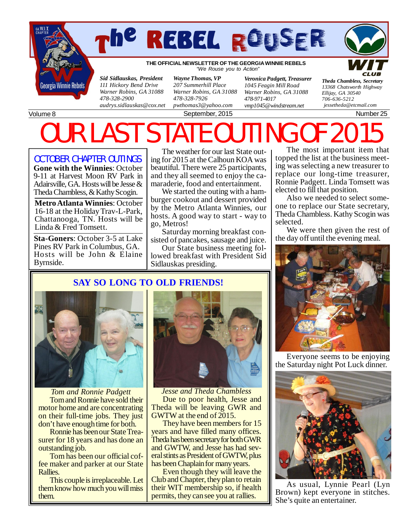



**THE OFFICIAL NEWSLETTER OF THE GEORGIA WINNIE REBELS** *"We Rouse you to Action"*

*Sid Sidlauskas, President 111 Hickory Bend Drive Warner Robins, GA 31088 478-328-2900 [audrys.sidlauskas@cox.net](mailto:audrys.sidlauskas@cox.net)*

*Wayne Thomas, VP 207 Summerhill Place Warner Robins, GA 31088 478-328-7926 [pwthomas3@yahoo.com](mailto:pwthomas3@yahoo.com)*

*Veronica Padgett, Treasurer 1045 Feagin Mill Road Warner Robins, GA 31088 478-971-4017*

September, 2015 Number 25

*[vmp1045@windstream.net](mailto:vmp1045@windstream.net)*

*Ellijay, GA 30540 706-636-5212 [jessetheda@etcmail.com](mailto:jessetheda@etcmail.com)*

*Theda Chambless, Secretary 13368 Chatsworth Highway*

Volume 8

# OUR LAST STATE OUTING OF 20

OCTOBER CHAPTER OUTINGS

**Gone with the Winnies**: October 9-11 at Harvest Moon RV Park in Adairsville, GA. Hosts will be Jesse & Theda Chambless, & Kathy Scogin.

**Metro Atlanta Winnies**: October 16-18 at the Holiday Trav-L-Park, Chattanooga, TN. Hosts will be Linda & Fred Tomsett.

**Sta-Goners**: October 3-5 at Lake Pines RV Park in Columbus, GA. Hosts will be John & Elaine Byrnside.

The weather for our last State outing for 2015 at the Calhoun KOA was beautiful. There were 25 participants, and they all seemed to enjoy the camaraderie, food and entertainment.

We started the outing with a hamburger cookout and dessert provided by the Metro Atlanta Winnies, our hosts. A good way to start - way to go, Metros!

Saturday morning breakfast consisted of pancakes, sausage and juice.

Our State business meeting followed breakfast with President Sid Sidlauskas presiding.

The most important item that topped the list at the business meeting was selecting a new treasurer to replace our long-time treasurer, Ronnie Padgett. Linda Tomsett was elected to fill that position.

Also we needed to select someone to replace our State secretary, Theda Chambless. Kathy Scogin was selected.

We were then given the rest of the day off until the evening meal.



Everyone seems to be enjoying the Saturday night Pot Luck dinner.



As usual, Lynnie Pearl (Lyn Brown) kept everyone in stitches. She's quite an entertainer.

## **SAY SO LONG TO OLD FRIENDS!**



*Tom and Ronnie Padgett* Tom and Ronnie have sold their motor home and are concentrating on their full-time jobs. They just don't have enough time for both.

Ronnie has been our State Treasurer for 18 years and has done an outstanding job.

Tom has been our official coffee maker and parker at our State Rallies.

This couple is irreplaceable. Let them know how much you will miss them.



*Jesse and Theda Chambless* Due to poor health, Jesse and Theda will be leaving GWR and GWTW at the end of 2015.

They have been members for 15 years and have filled many offices. Theda has been secretary for both GWR and GWTW, and Jesse has had several stints as President of GWTW, plus has been Chaplain for many years.

Even though they will leave the Club and Chapter, they plan to retain their WIT membership so, if health permits, they can see you at rallies.